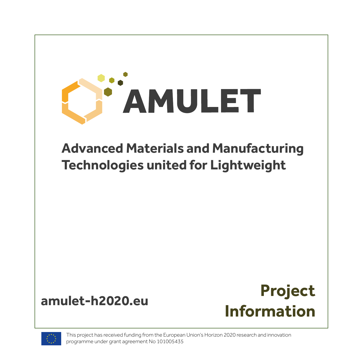



This project has received funding from the European Union's Horizon 2020 research and innovation programme under grant agreement No 101005435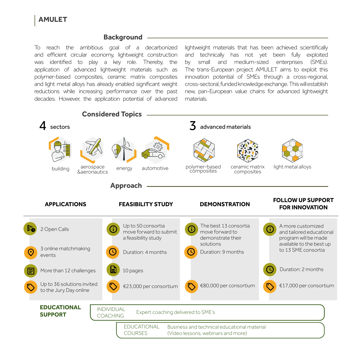## **AMULET**

## **Background**

To reach the ambitious goal of a decarbonized and efficient circular economy, lightweight construction was identified to play a key role. Thereby, the application of advanced lightweight materials such as polymer-based composites, ceramic matrix composites and light metal alloys has already enabled significant weight reductions while increasing performance over the past decades. However, the application potential of advanced

lightweight materials that has been achieved scientifically and technically has not yet been fully exploited by small and medium-sized enterprises (SMEs). The trans-European project AMULET aims to exploit this innovation potential of SMEs through a cross-regional, cross-sectoral, funded knowledge exchange. This will establish new, pan-European value chains for advanced lightweight materials.

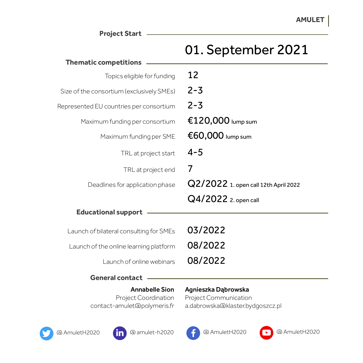**Project Start**

## 01. September 2021

| <b>Thematic competitions</b>              |                                      |
|-------------------------------------------|--------------------------------------|
| Topics eligible for funding               | 12                                   |
| Size of the consortium (exclusively SMEs) | $2 - 3$                              |
| Represented EU countries per consortium   | $2 - 3$                              |
| Maximum funding per consortium            | €120,000 lump sum                    |
| Maximum funding per SME                   | $\epsilon$ 60,000 lump sum           |
| TRL at project start                      | $4 - 5$                              |
| TRL at project end                        | 7                                    |
| Deadlines for application phase           | Q2/2022 1. open call 12th April 2022 |
|                                           | Q4/2022 2. open call                 |
| <b>Educational support</b>                |                                      |
| Launch of bilateral consulting for SMEs   | 03/2022                              |
| Launch of the online learning platform    | 08/2022                              |
| Launch of online webinars                 | 08/2022                              |
| <b>General contact</b>                    |                                      |

Annabelle Sion Project Coordination contact-amulet@polymeris.fr Agnieszka Dąbrowska Project Communication a.dabrowska@klaster.bydgoszcz.pl





[@ AmuletH2020](https://twitter.com/AmuletH2020) [@ amulet-h2020](https://www.linkedin.com/company/amulet-h2020) [@ AmuletH2020](https://www.facebook.com/AmuletH2020) [@ AmuletH2020](https://www.youtube.com/channel/UCwpiyx-lUdLKMVecPxkDw4g)